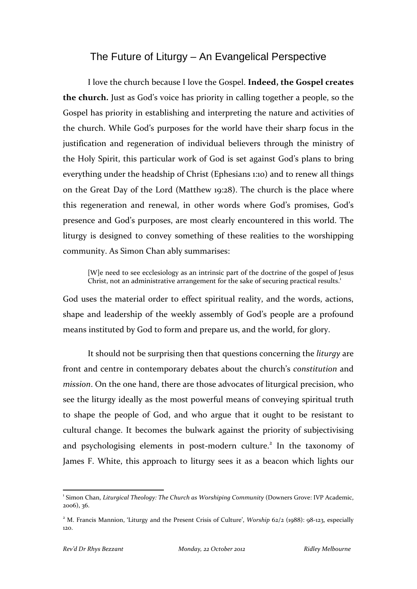## The Future of Liturgy – An Evangelical Perspective

I love the church because I love the Gospel. **Indeed, the Gospel creates the church.** Just as God's voice has priority in calling together a people, so the Gospel has priority in establishing and interpreting the nature and activities of the church. While God's purposes for the world have their sharp focus in the justification and regeneration of individual believers through the ministry of the Holy Spirit, this particular work of God is set against God's plans to bring everything under the headship of Christ (Ephesians 1:10) and to renew all things on the Great Day of the Lord (Matthew 19:28). The church is the place where this regeneration and renewal, in other words where God's promises, God's presence and God's purposes, are most clearly encountered in this world. The liturgy is designed to convey something of these realities to the worshipping community. As Simon Chan ably summarises:

[W]e need to see ecclesiology as an intrinsic part of the doctrine of the gospel of Jesus Christ, not an administrative arrangement for the sake of securing practical results.<sup>1</sup>

God uses the material order to effect spiritual reality, and the words, actions, shape and leadership of the weekly assembly of God's people are a profound means instituted by God to form and prepare us, and the world, for glory.

It should not be surprising then that questions concerning the *liturgy* are front and centre in contemporary debates about the church's *constitution* and *mission*. On the one hand, there are those advocates of liturgical precision, who see the liturgy ideally as the most powerful means of conveying spiritual truth to shape the people of God, and who argue that it ought to be resistant to cultural change. It becomes the bulwark against the priority of subjectivising and psychologising elements in post-modern culture.<sup>2</sup> In the taxonomy of James F. White, this approach to liturgy sees it as a beacon which lights our

<sup>1</sup> Simon Chan, *Liturgical Theology: The Church as Worshiping Community* (Downers Grove: IVP Academic, 2006), 36.

<sup>&</sup>lt;sup>2</sup> M. Francis Mannion, 'Liturgy and the Present Crisis of Culture', *Worship* 62/2 (1988): 98-123, especially 120.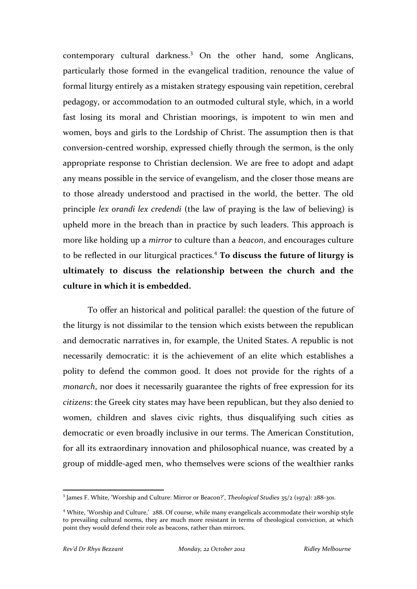contemporary cultural darkness.3 On the other hand, some Anglicans, particularly those formed in the evangelical tradition, renounce the value of formal liturgy entirely as a mistaken strategy espousing vain repetition, cerebral pedagogy, or accommodation to an outmoded cultural style, which, in a world fast losing its moral and Christian moorings, is impotent to win men and women, boys and girls to the Lordship of Christ. The assumption then is that conversion‐centred worship, expressed chiefly through the sermon, is the only appropriate response to Christian declension. We are free to adopt and adapt any means possible in the service of evangelism, and the closer those means are to those already understood and practised in the world, the better. The old principle *lex orandi lex credendi* (the law of praying is the law of believing) is upheld more in the breach than in practice by such leaders. This approach is more like holding up a *mirror* to culture than a *beacon*, and encourages culture to be reflected in our liturgical practices.4 **To discuss the future of liturgy is ultimately to discuss the relationship between the church and the culture in which it is embedded.**

To offer an historical and political parallel: the question of the future of the liturgy is not dissimilar to the tension which exists between the republican and democratic narratives in, for example, the United States. A republic is not necessarily democratic: it is the achievement of an elite which establishes a polity to defend the common good. It does not provide for the rights of a *monarch*, nor does it necessarily guarantee the rights of free expression for its *citizens*: the Greek city states may have been republican, but they also denied to women, children and slaves civic rights, thus disqualifying such cities as democratic or even broadly inclusive in our terms. The American Constitution, for all its extraordinary innovation and philosophical nuance, was created by a group of middle‐aged men, who themselves were scions of the wealthier ranks

<sup>3</sup> James F. White, 'Worship and Culture: Mirror or Beacon?', *Theological Studies* 35/2 (1974): 288‐301.

<sup>4</sup> White, 'Worship and Culture,' 288. Of course, while many evangelicals accommodate their worship style to prevailing cultural norms, they are much more resistant in terms of theological conviction, at which point they would defend their role as beacons, rather than mirrors.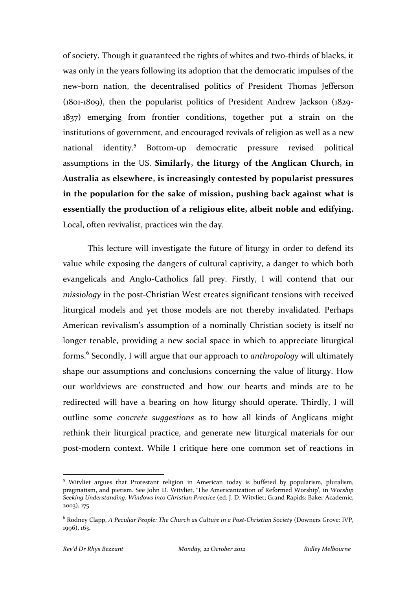of society. Though it guaranteed the rights of whites and two‐thirds of blacks, it was only in the years following its adoption that the democratic impulses of the new‐born nation, the decentralised politics of President Thomas Jefferson (1801‐1809), then the popularist politics of President Andrew Jackson (1829‐ 1837) emerging from frontier conditions, together put a strain on the institutions of government, and encouraged revivals of religion as well as a new national identity.<sup>5</sup> Bottom-up democratic pressure revised political assumptions in the US. **Similarly, the liturgy of the Anglican Church, in Australia as elsewhere, is increasingly contested by popularist pressures in the population for the sake of mission, pushing back against what is essentially the production of a religious elite, albeit noble and edifying.** Local, often revivalist, practices win the day.

This lecture will investigate the future of liturgy in order to defend its value while exposing the dangers of cultural captivity, a danger to which both evangelicals and Anglo‐Catholics fall prey. Firstly, I will contend that our *missiology* in the post-Christian West creates significant tensions with received liturgical models and yet those models are not thereby invalidated. Perhaps American revivalism's assumption of a nominally Christian society is itself no longer tenable, providing a new social space in which to appreciate liturgical forms.6 Secondly, I will argue that our approach to *anthropology* will ultimately shape our assumptions and conclusions concerning the value of liturgy. How our worldviews are constructed and how our hearts and minds are to be redirected will have a bearing on how liturgy should operate. Thirdly, I will outline some *concrete suggestions* as to how all kinds of Anglicans might rethink their liturgical practice, and generate new liturgical materials for our post‐modern context. While I critique here one common set of reactions in

<sup>&</sup>lt;sup>5</sup> Witvliet argues that Protestant religion in American today is buffeted by popularism, pluralism, pragmatism, and pietism. See John D. Witvliet, 'The Americanization of Reformed Worship', in *Worship Seeking Understanding: Windows into Christian Practice* (ed. J. D. Witvliet; Grand Rapids: Baker Academic, 2003), 175.

<sup>6</sup> Rodney Clapp, *A Peculiar People: The Church as Culture in a Post‐Christian Society* (Downers Grove: IVP, 1996), 163.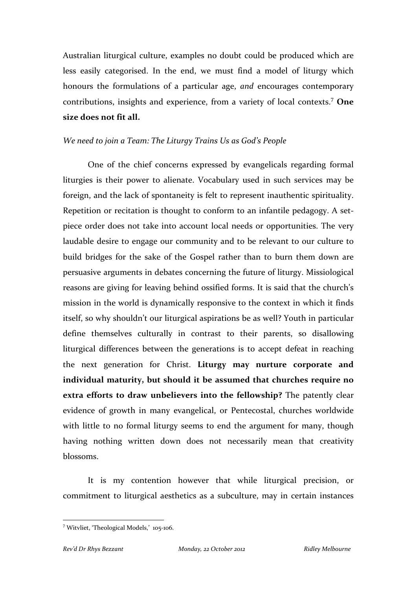Australian liturgical culture, examples no doubt could be produced which are less easily categorised. In the end, we must find a model of liturgy which honours the formulations of a particular age, *and* encourages contemporary contributions, insights and experience, from a variety of local contexts.<sup>7</sup> **One size does not fit all.**

### *We need to join a Team: The Liturgy Trains Us as God's People*

One of the chief concerns expressed by evangelicals regarding formal liturgies is their power to alienate. Vocabulary used in such services may be foreign, and the lack of spontaneity is felt to represent inauthentic spirituality. Repetition or recitation is thought to conform to an infantile pedagogy. A setpiece order does not take into account local needs or opportunities. The very laudable desire to engage our community and to be relevant to our culture to build bridges for the sake of the Gospel rather than to burn them down are persuasive arguments in debates concerning the future of liturgy. Missiological reasons are giving for leaving behind ossified forms. It is said that the church's mission in the world is dynamically responsive to the context in which it finds itself, so why shouldn't our liturgical aspirations be as well? Youth in particular define themselves culturally in contrast to their parents, so disallowing liturgical differences between the generations is to accept defeat in reaching the next generation for Christ. **Liturgy may nurture corporate and individual maturity, but should it be assumed that churches require no extra efforts to draw unbelievers into the fellowship?** The patently clear evidence of growth in many evangelical, or Pentecostal, churches worldwide with little to no formal liturgy seems to end the argument for many, though having nothing written down does not necessarily mean that creativity blossoms.

It is my contention however that while liturgical precision, or commitment to liturgical aesthetics as a subculture, may in certain instances

 <sup>7</sup> Witvliet, 'Theological Models,' 105‐106.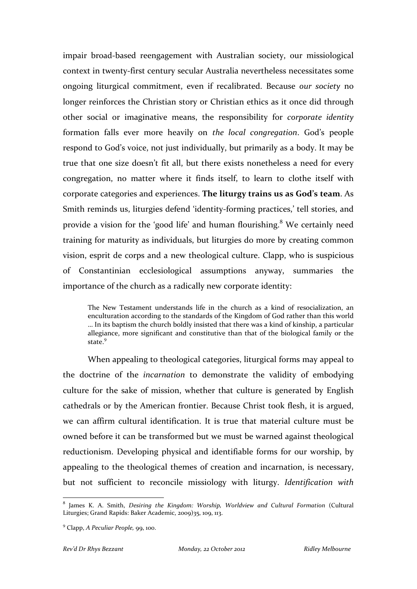impair broad‐based reengagement with Australian society, our missiological context in twenty‐first century secular Australia nevertheless necessitates some ongoing liturgical commitment, even if recalibrated. Because *our society* no longer reinforces the Christian story or Christian ethics as it once did through other social or imaginative means, the responsibility for *corporate identity* formation falls ever more heavily on *the local congregation*. God's people respond to God's voice, not just individually, but primarily as a body. It may be true that one size doesn't fit all, but there exists nonetheless a need for every congregation, no matter where it finds itself, to learn to clothe itself with corporate categories and experiences. **The liturgy trains us as God's team**. As Smith reminds us, liturgies defend 'identity‐forming practices,' tell stories, and provide a vision for the 'good life' and human flourishing.<sup>8</sup> We certainly need training for maturity as individuals, but liturgies do more by creating common vision, esprit de corps and a new theological culture. Clapp, who is suspicious of Constantinian ecclesiological assumptions anyway, summaries the importance of the church as a radically new corporate identity:

The New Testament understands life in the church as a kind of resocialization, an enculturation according to the standards of the Kingdom of God rather than this world … In its baptism the church boldly insisted that there was a kind of kinship, a particular allegiance, more significant and constitutive than that of the biological family or the state.<sup>9</sup>

When appealing to theological categories, liturgical forms may appeal to the doctrine of the *incarnation* to demonstrate the validity of embodying culture for the sake of mission, whether that culture is generated by English cathedrals or by the American frontier. Because Christ took flesh, it is argued, we can affirm cultural identification. It is true that material culture must be owned before it can be transformed but we must be warned against theological reductionism. Developing physical and identifiable forms for our worship, by appealing to the theological themes of creation and incarnation, is necessary, but not sufficient to reconcile missiology with liturgy. *Identification with*

<sup>8</sup> James K. A. Smith, *Desiring the Kingdom: Worship, Worldview and Cultural Formation* (Cultural Liturgies; Grand Rapids: Baker Academic, 2009)35, 109, 113.

<sup>9</sup> Clapp, *A Peculiar People,* 99, 100.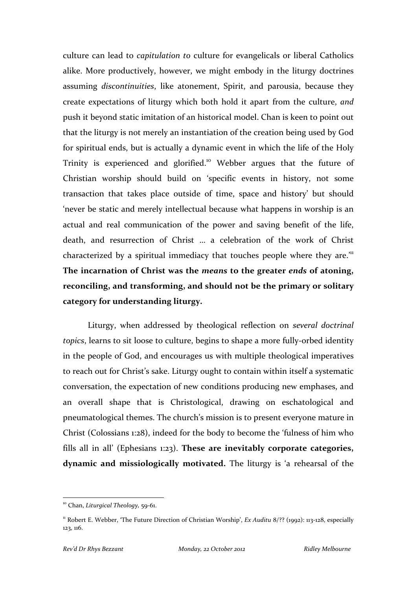culture can lead to *capitulation to* culture for evangelicals or liberal Catholics alike. More productively, however, we might embody in the liturgy doctrines assuming *discontinuities*, like atonement, Spirit, and parousia, because they create expectations of liturgy which both hold it apart from the culture, *and* push it beyond static imitation of an historical model. Chan is keen to point out that the liturgy is not merely an instantiation of the creation being used by God for spiritual ends, but is actually a dynamic event in which the life of the Holy Trinity is experienced and glorified.<sup>10</sup> Webber argues that the future of Christian worship should build on 'specific events in history, not some transaction that takes place outside of time, space and history' but should 'never be static and merely intellectual because what happens in worship is an actual and real communication of the power and saving benefit of the life, death, and resurrection of Christ … a celebration of the work of Christ characterized by a spiritual immediacy that touches people where they are.<sup>'11</sup> **The incarnation of Christ was the** *means* **to the greater** *ends* **of atoning, reconciling, and transforming, and should not be the primary or solitary category for understanding liturgy.**

Liturgy, when addressed by theological reflection on *several doctrinal topics*, learns to sit loose to culture, begins to shape a more fully‐orbed identity in the people of God, and encourages us with multiple theological imperatives to reach out for Christ's sake. Liturgy ought to contain within itself a systematic conversation, the expectation of new conditions producing new emphases, and an overall shape that is Christological, drawing on eschatological and pneumatological themes. The church's mission is to present everyone mature in Christ (Colossians 1:28), indeed for the body to become the 'fulness of him who fills all in all' (Ephesians 1:23). **These are inevitably corporate categories, dynamic and missiologically motivated.** The liturgy is 'a rehearsal of the

 <sup>10</sup> Chan, *Liturgical Theology,* 59‐61.

<sup>11</sup> Robert E. Webber, 'The Future Direction of Christian Worship', *Ex Auditu* 8/?? (1992): 113‐128, especially 123, 116.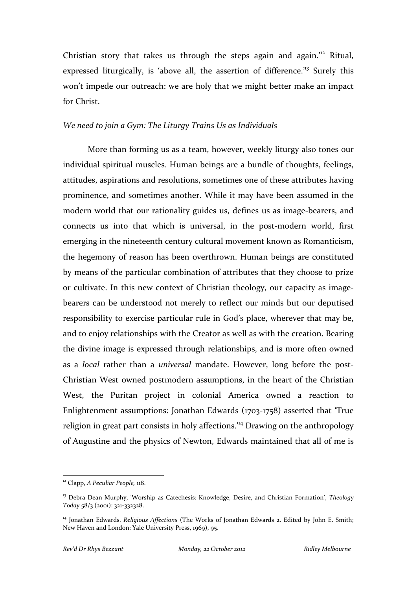Christian story that takes us through the steps again and again.'<sup>12</sup> Ritual, expressed liturgically, is 'above all, the assertion of difference.<sup>13</sup> Surely this won't impede our outreach: we are holy that we might better make an impact for Christ.

#### *We need to join a Gym: The Liturgy Trains Us as Individuals*

More than forming us as a team, however, weekly liturgy also tones our individual spiritual muscles. Human beings are a bundle of thoughts, feelings, attitudes, aspirations and resolutions, sometimes one of these attributes having prominence, and sometimes another. While it may have been assumed in the modern world that our rationality guides us, defines us as image-bearers, and connects us into that which is universal, in the post-modern world, first emerging in the nineteenth century cultural movement known as Romanticism, the hegemony of reason has been overthrown. Human beings are constituted by means of the particular combination of attributes that they choose to prize or cultivate. In this new context of Christian theology, our capacity as imagebearers can be understood not merely to reflect our minds but our deputised responsibility to exercise particular rule in God's place, wherever that may be, and to enjoy relationships with the Creator as well as with the creation. Bearing the divine image is expressed through relationships, and is more often owned as a *local* rather than a *universal* mandate. However, long before the post-Christian West owned postmodern assumptions, in the heart of the Christian West, the Puritan project in colonial America owned a reaction to Enlightenment assumptions: Jonathan Edwards (1703‐1758) asserted that 'True religion in great part consists in holy affections.'<sup>14</sup> Drawing on the anthropology of Augustine and the physics of Newton, Edwards maintained that all of me is

<sup>12</sup> Clapp, *A Peculiar People,* 118.

<sup>13</sup> Debra Dean Murphy, 'Worship as Catechesis: Knowledge, Desire, and Christian Formation', *Theology Today* 58/3 (2001): 321‐332328.

<sup>14</sup> Jonathan Edwards, *Religious Affections* (The Works of Jonathan Edwards 2. Edited by John E. Smith; New Haven and London: Yale University Press, 1969), 95.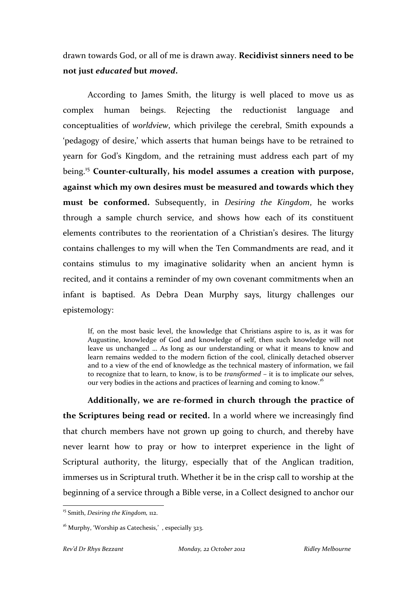drawn towards God, or all of me is drawn away. **Recidivist sinners need to be not just** *educated* **but** *moved***.**

According to James Smith, the liturgy is well placed to move us as complex human beings. Rejecting the reductionist language and conceptualities of *worldview*, which privilege the cerebral, Smith expounds a 'pedagogy of desire,' which asserts that human beings have to be retrained to yearn for God's Kingdom, and the retraining must address each part of my being.15 **Counter‐culturally, his model assumes a creation with purpose, against which my own desires must be measured and towards which they must be conformed.** Subsequently, in *Desiring the Kingdom*, he works through a sample church service, and shows how each of its constituent elements contributes to the reorientation of a Christian's desires. The liturgy contains challenges to my will when the Ten Commandments are read, and it contains stimulus to my imaginative solidarity when an ancient hymn is recited, and it contains a reminder of my own covenant commitments when an infant is baptised. As Debra Dean Murphy says, liturgy challenges our epistemology:

If, on the most basic level, the knowledge that Christians aspire to is, as it was for Augustine, knowledge of God and knowledge of self, then such knowledge will not leave us unchanged … As long as our understanding or what it means to know and learn remains wedded to the modern fiction of the cool, clinically detached observer and to a view of the end of knowledge as the technical mastery of information, we fail to recognize that to learn, to know, is to be *transformed* – it is to implicate our selves, our very bodies in the actions and practices of learning and coming to know.<sup>16</sup>

**Additionally, we are re‐formed in church through the practice of the Scriptures being read or recited.** In a world where we increasingly find that church members have not grown up going to church, and thereby have never learnt how to pray or how to interpret experience in the light of Scriptural authority, the liturgy, especially that of the Anglican tradition, immerses us in Scriptural truth. Whether it be in the crisp call to worship at the beginning of a service through a Bible verse, in a Collect designed to anchor our

 <sup>15</sup> Smith, *Desiring the Kingdom,* 112.

<sup>&</sup>lt;sup>16</sup> Murphy, 'Worship as Catechesis,', especially 323.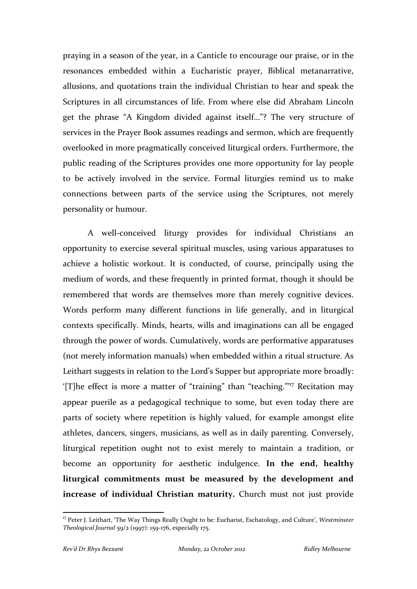praying in a season of the year, in a Canticle to encourage our praise, or in the resonances embedded within a Eucharistic prayer, Biblical metanarrative, allusions, and quotations train the individual Christian to hear and speak the Scriptures in all circumstances of life. From where else did Abraham Lincoln get the phrase "A Kingdom divided against itself…"? The very structure of services in the Prayer Book assumes readings and sermon, which are frequently overlooked in more pragmatically conceived liturgical orders. Furthermore, the public reading of the Scriptures provides one more opportunity for lay people to be actively involved in the service. Formal liturgies remind us to make connections between parts of the service using the Scriptures, not merely personality or humour.

A well-conceived liturgy provides for individual Christians an opportunity to exercise several spiritual muscles, using various apparatuses to achieve a holistic workout. It is conducted, of course, principally using the medium of words, and these frequently in printed format, though it should be remembered that words are themselves more than merely cognitive devices. Words perform many different functions in life generally, and in liturgical contexts specifically. Minds, hearts, wills and imaginations can all be engaged through the power of words. Cumulatively, words are performative apparatuses (not merely information manuals) when embedded within a ritual structure. As Leithart suggests in relation to the Lord's Supper but appropriate more broadly: '[T]he effect is more a matter of "training" than "teaching."'17 Recitation may appear puerile as a pedagogical technique to some, but even today there are parts of society where repetition is highly valued, for example amongst elite athletes, dancers, singers, musicians, as well as in daily parenting. Conversely, liturgical repetition ought not to exist merely to maintain a tradition, or become an opportunity for aesthetic indulgence. **In the end, healthy liturgical commitments must be measured by the development and increase of individual Christian maturity.** Church must not just provide

<sup>17</sup> Peter J. Leithart, 'The Way Things Really Ought to be: Eucharist, Eschatology, and Culture', *Westminster Theological Journal* 59/2 (1997): 159‐176, especially 175.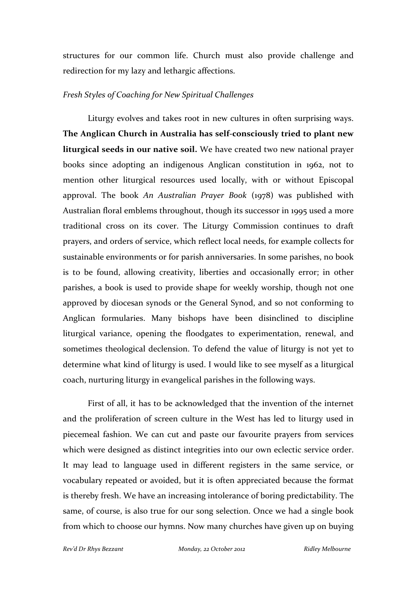structures for our common life. Church must also provide challenge and redirection for my lazy and lethargic affections.

#### *Fresh Styles of Coaching for New Spiritual Challenges*

Liturgy evolves and takes root in new cultures in often surprising ways. **The Anglican Church in Australia has self‐consciously tried to plant new liturgical seeds in our native soil.** We have created two new national prayer books since adopting an indigenous Anglican constitution in 1962, not to mention other liturgical resources used locally, with or without Episcopal approval. The book *An Australian Prayer Book* (1978) was published with Australian floral emblems throughout, though its successor in 1995 used a more traditional cross on its cover. The Liturgy Commission continues to draft prayers, and orders of service, which reflect local needs, for example collects for sustainable environments or for parish anniversaries. In some parishes, no book is to be found, allowing creativity, liberties and occasionally error; in other parishes, a book is used to provide shape for weekly worship, though not one approved by diocesan synods or the General Synod, and so not conforming to Anglican formularies. Many bishops have been disinclined to discipline liturgical variance, opening the floodgates to experimentation, renewal, and sometimes theological declension. To defend the value of liturgy is not yet to determine what kind of liturgy is used. I would like to see myself as a liturgical coach, nurturing liturgy in evangelical parishes in the following ways.

First of all, it has to be acknowledged that the invention of the internet and the proliferation of screen culture in the West has led to liturgy used in piecemeal fashion. We can cut and paste our favourite prayers from services which were designed as distinct integrities into our own eclectic service order. It may lead to language used in different registers in the same service, or vocabulary repeated or avoided, but it is often appreciated because the format is thereby fresh. We have an increasing intolerance of boring predictability. The same, of course, is also true for our song selection. Once we had a single book from which to choose our hymns. Now many churches have given up on buying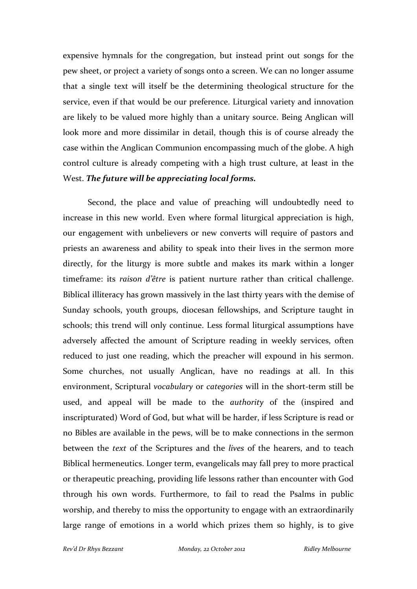expensive hymnals for the congregation, but instead print out songs for the pew sheet, or project a variety of songs onto a screen. We can no longer assume that a single text will itself be the determining theological structure for the service, even if that would be our preference. Liturgical variety and innovation are likely to be valued more highly than a unitary source. Being Anglican will look more and more dissimilar in detail, though this is of course already the case within the Anglican Communion encompassing much of the globe. A high control culture is already competing with a high trust culture, at least in the West. *The future will be appreciating local forms.*

Second, the place and value of preaching will undoubtedly need to increase in this new world. Even where formal liturgical appreciation is high, our engagement with unbelievers or new converts will require of pastors and priests an awareness and ability to speak into their lives in the sermon more directly, for the liturgy is more subtle and makes its mark within a longer timeframe: its *raison d'être* is patient nurture rather than critical challenge. Biblical illiteracy has grown massively in the last thirty years with the demise of Sunday schools, youth groups, diocesan fellowships, and Scripture taught in schools; this trend will only continue. Less formal liturgical assumptions have adversely affected the amount of Scripture reading in weekly services, often reduced to just one reading, which the preacher will expound in his sermon. Some churches, not usually Anglican, have no readings at all. In this environment, Scriptural *vocabulary* or *categories* will in the short‐term still be used, and appeal will be made to the *authority* of the (inspired and inscripturated) Word of God, but what will be harder, if less Scripture is read or no Bibles are available in the pews, will be to make connections in the sermon between the *text* of the Scriptures and the *lives* of the hearers, and to teach Biblical hermeneutics. Longer term, evangelicals may fall prey to more practical or therapeutic preaching, providing life lessons rather than encounter with God through his own words. Furthermore, to fail to read the Psalms in public worship, and thereby to miss the opportunity to engage with an extraordinarily large range of emotions in a world which prizes them so highly, is to give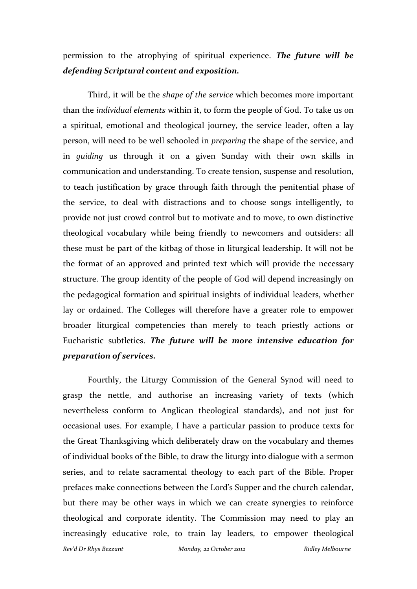# permission to the atrophying of spiritual experience. *The future will be defending Scriptural content and exposition.*

Third, it will be the *shape of the service* which becomes more important than the *individual elements* within it, to form the people of God. To take us on a spiritual, emotional and theological journey, the service leader, often a lay person, will need to be well schooled in *preparing* the shape of the service, and in *guiding* us through it on a given Sunday with their own skills in communication and understanding. To create tension, suspense and resolution, to teach justification by grace through faith through the penitential phase of the service, to deal with distractions and to choose songs intelligently, to provide not just crowd control but to motivate and to move, to own distinctive theological vocabulary while being friendly to newcomers and outsiders: all these must be part of the kitbag of those in liturgical leadership. It will not be the format of an approved and printed text which will provide the necessary structure. The group identity of the people of God will depend increasingly on the pedagogical formation and spiritual insights of individual leaders, whether lay or ordained. The Colleges will therefore have a greater role to empower broader liturgical competencies than merely to teach priestly actions or Eucharistic subtleties. *The future will be more intensive education for preparation of services.*

Fourthly, the Liturgy Commission of the General Synod will need to grasp the nettle, and authorise an increasing variety of texts (which nevertheless conform to Anglican theological standards), and not just for occasional uses. For example, I have a particular passion to produce texts for the Great Thanksgiving which deliberately draw on the vocabulary and themes of individual books of the Bible, to draw the liturgy into dialogue with a sermon series, and to relate sacramental theology to each part of the Bible. Proper prefaces make connections between the Lord's Supper and the church calendar, but there may be other ways in which we can create synergies to reinforce theological and corporate identity. The Commission may need to play an increasingly educative role, to train lay leaders, to empower theological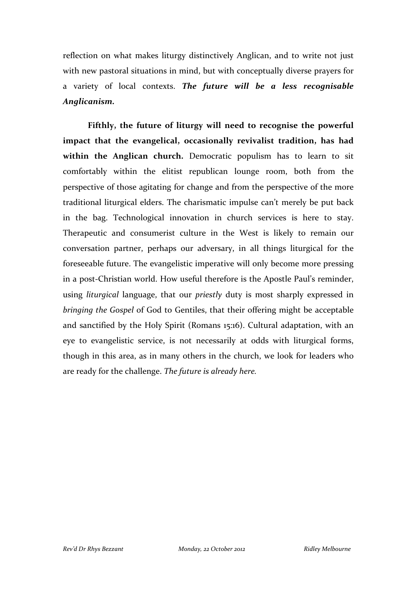reflection on what makes liturgy distinctively Anglican, and to write not just with new pastoral situations in mind, but with conceptually diverse prayers for a variety of local contexts. *The future will be a less recognisable Anglicanism.*

**Fifthly, the future of liturgy will need to recognise the powerful impact that the evangelical, occasionally revivalist tradition, has had within the Anglican church.** Democratic populism has to learn to sit comfortably within the elitist republican lounge room, both from the perspective of those agitating for change and from the perspective of the more traditional liturgical elders. The charismatic impulse can't merely be put back in the bag. Technological innovation in church services is here to stay. Therapeutic and consumerist culture in the West is likely to remain our conversation partner, perhaps our adversary, in all things liturgical for the foreseeable future. The evangelistic imperative will only become more pressing in a post‐Christian world. How useful therefore is the Apostle Paul's reminder, using *liturgical* language, that our *priestly* duty is most sharply expressed in *bringing the Gospel* of God to Gentiles, that their offering might be acceptable and sanctified by the Holy Spirit (Romans 15:16). Cultural adaptation, with an eye to evangelistic service, is not necessarily at odds with liturgical forms, though in this area, as in many others in the church, we look for leaders who are ready for the challenge. *The future is already here.*